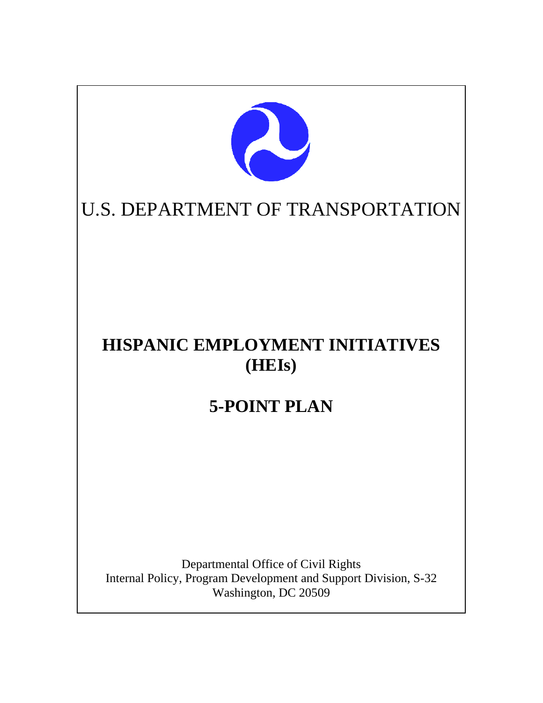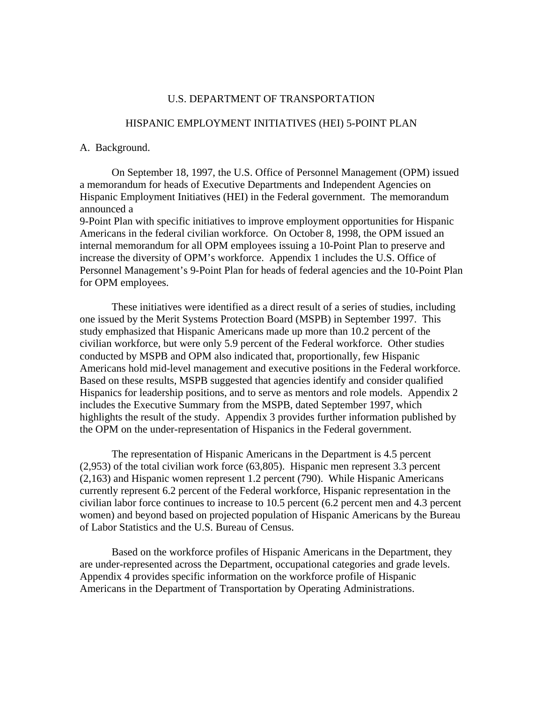#### U.S. DEPARTMENT OF TRANSPORTATION

## HISPANIC EMPLOYMENT INITIATIVES (HEI) 5-POINT PLAN

A. Background.

On September 18, 1997, the U.S. Office of Personnel Management (OPM) issued a memorandum for heads of Executive Departments and Independent Agencies on Hispanic Employment Initiatives (HEI) in the Federal government. The memorandum announced a

9-Point Plan with specific initiatives to improve employment opportunities for Hispanic Americans in the federal civilian workforce. On October 8, 1998, the OPM issued an internal memorandum for all OPM employees issuing a 10-Point Plan to preserve and increase the diversity of OPM's workforce. Appendix 1 includes the U.S. Office of Personnel Management's 9-Point Plan for heads of federal agencies and the 10-Point Plan for OPM employees.

These initiatives were identified as a direct result of a series of studies, including one issued by the Merit Systems Protection Board (MSPB) in September 1997. This study emphasized that Hispanic Americans made up more than 10.2 percent of the civilian workforce, but were only 5.9 percent of the Federal workforce. Other studies conducted by MSPB and OPM also indicated that, proportionally, few Hispanic Americans hold mid-level management and executive positions in the Federal workforce. Based on these results, MSPB suggested that agencies identify and consider qualified Hispanics for leadership positions, and to serve as mentors and role models. Appendix 2 includes the Executive Summary from the MSPB, dated September 1997, which highlights the result of the study. Appendix 3 provides further information published by the OPM on the under-representation of Hispanics in the Federal government.

The representation of Hispanic Americans in the Department is 4.5 percent (2,953) of the total civilian work force (63,805). Hispanic men represent 3.3 percent (2,163) and Hispanic women represent 1.2 percent (790). While Hispanic Americans currently represent 6.2 percent of the Federal workforce, Hispanic representation in the civilian labor force continues to increase to 10.5 percent (6.2 percent men and 4.3 percent women) and beyond based on projected population of Hispanic Americans by the Bureau of Labor Statistics and the U.S. Bureau of Census.

Based on the workforce profiles of Hispanic Americans in the Department, they are under-represented across the Department, occupational categories and grade levels. Appendix 4 provides specific information on the workforce profile of Hispanic Americans in the Department of Transportation by Operating Administrations.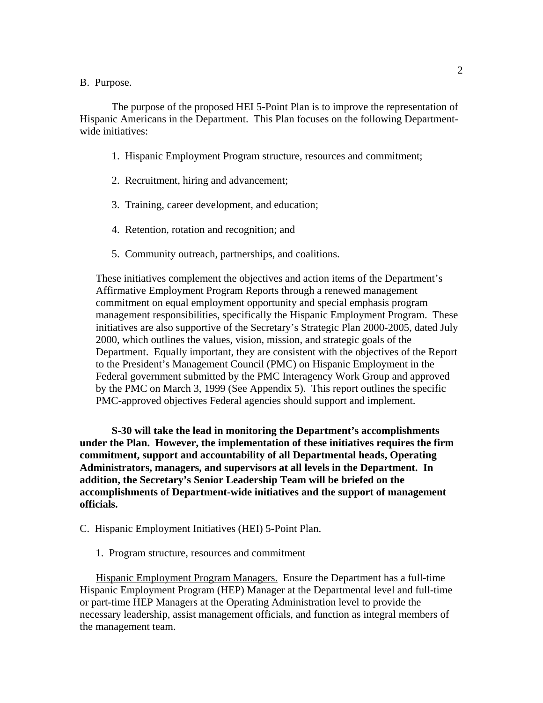### B. Purpose.

 The purpose of the proposed HEI 5-Point Plan is to improve the representation of Hispanic Americans in the Department. This Plan focuses on the following Departmentwide initiatives:

- 1. Hispanic Employment Program structure, resources and commitment;
- 2. Recruitment, hiring and advancement;
- 3. Training, career development, and education;
- 4. Retention, rotation and recognition; and
- 5. Community outreach, partnerships, and coalitions.

These initiatives complement the objectives and action items of the Department's Affirmative Employment Program Reports through a renewed management commitment on equal employment opportunity and special emphasis program management responsibilities, specifically the Hispanic Employment Program. These initiatives are also supportive of the Secretary's Strategic Plan 2000-2005, dated July 2000, which outlines the values, vision, mission, and strategic goals of the Department. Equally important, they are consistent with the objectives of the Report to the President's Management Council (PMC) on Hispanic Employment in the Federal government submitted by the PMC Interagency Work Group and approved by the PMC on March 3, 1999 (See Appendix 5). This report outlines the specific PMC-approved objectives Federal agencies should support and implement.

**S-30 will take the lead in monitoring the Department's accomplishments under the Plan. However, the implementation of these initiatives requires the firm commitment, support and accountability of all Departmental heads, Operating Administrators, managers, and supervisors at all levels in the Department. In addition, the Secretary's Senior Leadership Team will be briefed on the accomplishments of Department-wide initiatives and the support of management officials.** 

- C. Hispanic Employment Initiatives (HEI) 5-Point Plan.
	- 1. Program structure, resources and commitment

Hispanic Employment Program Managers. Ensure the Department has a full-time Hispanic Employment Program (HEP) Manager at the Departmental level and full-time or part-time HEP Managers at the Operating Administration level to provide the necessary leadership, assist management officials, and function as integral members of the management team.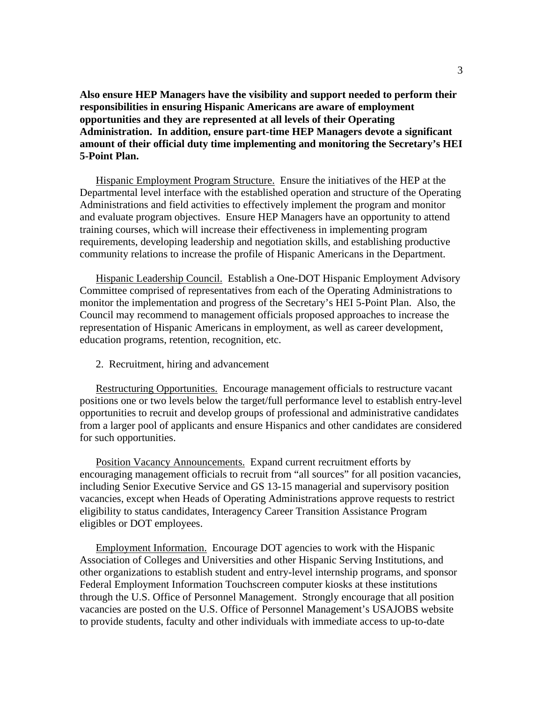**Also ensure HEP Managers have the visibility and support needed to perform their responsibilities in ensuring Hispanic Americans are aware of employment opportunities and they are represented at all levels of their Operating Administration. In addition, ensure part-time HEP Managers devote a significant amount of their official duty time implementing and monitoring the Secretary's HEI 5-Point Plan.** 

Hispanic Employment Program Structure. Ensure the initiatives of the HEP at the Departmental level interface with the established operation and structure of the Operating Administrations and field activities to effectively implement the program and monitor and evaluate program objectives. Ensure HEP Managers have an opportunity to attend training courses, which will increase their effectiveness in implementing program requirements, developing leadership and negotiation skills, and establishing productive community relations to increase the profile of Hispanic Americans in the Department.

Hispanic Leadership Council. Establish a One-DOT Hispanic Employment Advisory Committee comprised of representatives from each of the Operating Administrations to monitor the implementation and progress of the Secretary's HEI 5-Point Plan. Also, the Council may recommend to management officials proposed approaches to increase the representation of Hispanic Americans in employment, as well as career development, education programs, retention, recognition, etc.

2. Recruitment, hiring and advancement

Restructuring Opportunities. Encourage management officials to restructure vacant positions one or two levels below the target/full performance level to establish entry-level opportunities to recruit and develop groups of professional and administrative candidates from a larger pool of applicants and ensure Hispanics and other candidates are considered for such opportunities.

Position Vacancy Announcements. Expand current recruitment efforts by encouraging management officials to recruit from "all sources" for all position vacancies, including Senior Executive Service and GS 13-15 managerial and supervisory position vacancies, except when Heads of Operating Administrations approve requests to restrict eligibility to status candidates, Interagency Career Transition Assistance Program eligibles or DOT employees.

Employment Information. Encourage DOT agencies to work with the Hispanic Association of Colleges and Universities and other Hispanic Serving Institutions, and other organizations to establish student and entry-level internship programs, and sponsor Federal Employment Information Touchscreen computer kiosks at these institutions through the U.S. Office of Personnel Management. Strongly encourage that all position vacancies are posted on the U.S. Office of Personnel Management's USAJOBS website to provide students, faculty and other individuals with immediate access to up-to-date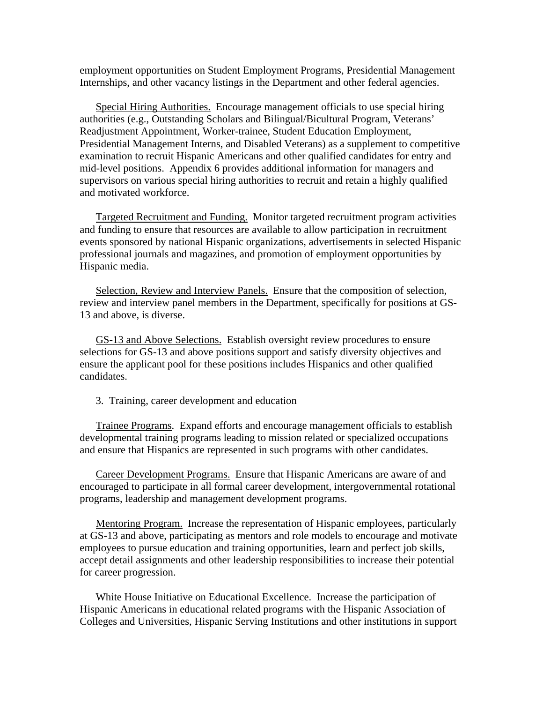employment opportunities on Student Employment Programs, Presidential Management Internships, and other vacancy listings in the Department and other federal agencies.

Special Hiring Authorities. Encourage management officials to use special hiring authorities (e.g., Outstanding Scholars and Bilingual/Bicultural Program, Veterans' Readjustment Appointment, Worker-trainee, Student Education Employment, Presidential Management Interns, and Disabled Veterans) as a supplement to competitive examination to recruit Hispanic Americans and other qualified candidates for entry and mid-level positions. Appendix 6 provides additional information for managers and supervisors on various special hiring authorities to recruit and retain a highly qualified and motivated workforce.

Targeted Recruitment and Funding. Monitor targeted recruitment program activities and funding to ensure that resources are available to allow participation in recruitment events sponsored by national Hispanic organizations, advertisements in selected Hispanic professional journals and magazines, and promotion of employment opportunities by Hispanic media.

Selection, Review and Interview Panels. Ensure that the composition of selection, review and interview panel members in the Department, specifically for positions at GS-13 and above, is diverse.

GS-13 and Above Selections. Establish oversight review procedures to ensure selections for GS-13 and above positions support and satisfy diversity objectives and ensure the applicant pool for these positions includes Hispanics and other qualified candidates.

3. Training, career development and education

Trainee Programs. Expand efforts and encourage management officials to establish developmental training programs leading to mission related or specialized occupations and ensure that Hispanics are represented in such programs with other candidates.

Career Development Programs. Ensure that Hispanic Americans are aware of and encouraged to participate in all formal career development, intergovernmental rotational programs, leadership and management development programs.

Mentoring Program. Increase the representation of Hispanic employees, particularly at GS-13 and above, participating as mentors and role models to encourage and motivate employees to pursue education and training opportunities, learn and perfect job skills, accept detail assignments and other leadership responsibilities to increase their potential for career progression.

White House Initiative on Educational Excellence. Increase the participation of Hispanic Americans in educational related programs with the Hispanic Association of Colleges and Universities, Hispanic Serving Institutions and other institutions in support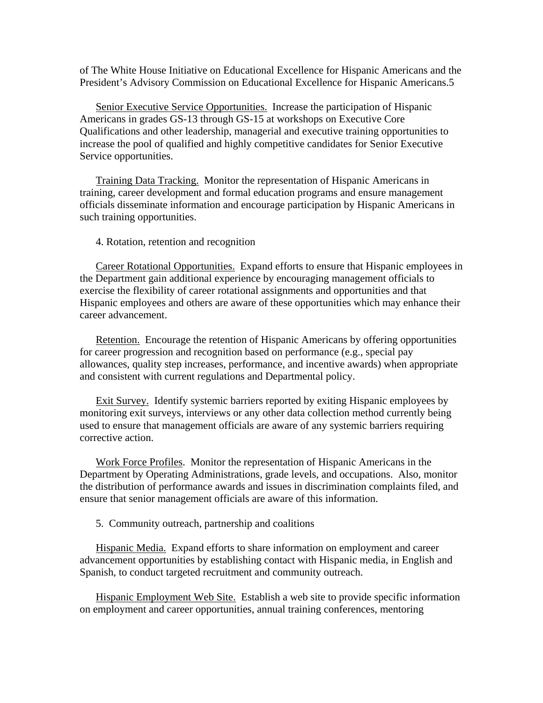of The White House Initiative on Educational Excellence for Hispanic Americans and the President's Advisory Commission on Educational Excellence for Hispanic Americans.5

Senior Executive Service Opportunities. Increase the participation of Hispanic Americans in grades GS-13 through GS-15 at workshops on Executive Core Qualifications and other leadership, managerial and executive training opportunities to increase the pool of qualified and highly competitive candidates for Senior Executive Service opportunities.

Training Data Tracking. Monitor the representation of Hispanic Americans in training, career development and formal education programs and ensure management officials disseminate information and encourage participation by Hispanic Americans in such training opportunities.

#### 4. Rotation, retention and recognition

Career Rotational Opportunities. Expand efforts to ensure that Hispanic employees in the Department gain additional experience by encouraging management officials to exercise the flexibility of career rotational assignments and opportunities and that Hispanic employees and others are aware of these opportunities which may enhance their career advancement.

Retention. Encourage the retention of Hispanic Americans by offering opportunities for career progression and recognition based on performance (e.g., special pay allowances, quality step increases, performance, and incentive awards) when appropriate and consistent with current regulations and Departmental policy.

Exit Survey. Identify systemic barriers reported by exiting Hispanic employees by monitoring exit surveys, interviews or any other data collection method currently being used to ensure that management officials are aware of any systemic barriers requiring corrective action.

Work Force Profiles. Monitor the representation of Hispanic Americans in the Department by Operating Administrations, grade levels, and occupations. Also, monitor the distribution of performance awards and issues in discrimination complaints filed, and ensure that senior management officials are aware of this information.

5. Community outreach, partnership and coalitions

Hispanic Media. Expand efforts to share information on employment and career advancement opportunities by establishing contact with Hispanic media, in English and Spanish, to conduct targeted recruitment and community outreach.

Hispanic Employment Web Site. Establish a web site to provide specific information on employment and career opportunities, annual training conferences, mentoring